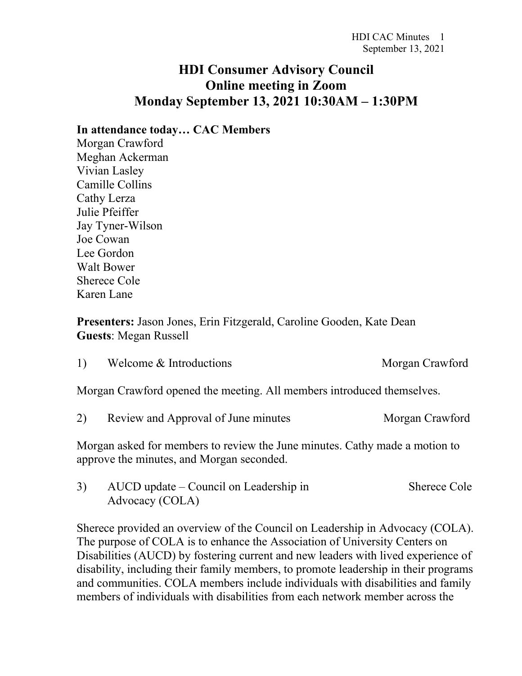## **HDI Consumer Advisory Council Online meeting in Zoom Monday September 13, 2021 10:30AM – 1:30PM**

## **In attendance today… CAC Members**

Morgan Crawford Meghan Ackerman Vivian Lasley Camille Collins Cathy Lerza Julie Pfeiffer Jay Tyner-Wilson Joe Cowan Lee Gordon Walt Bower Sherece Cole Karen Lane

**Presenters:** Jason Jones, Erin Fitzgerald, Caroline Gooden, Kate Dean **Guests**: Megan Russell

| 1) | Welcome & Introductions                                                | Morgan Crawford |
|----|------------------------------------------------------------------------|-----------------|
|    | Morgan Crawford opened the meeting. All members introduced themselves. |                 |
|    | Review and Approval of June minutes                                    | Morgan Crawford |

Morgan asked for members to review the June minutes. Cathy made a motion to

approve the minutes, and Morgan seconded.

3) AUCD update – Council on Leadership in Sherece Cole Advocacy (COLA)

Sherece provided an overview of the Council on Leadership in Advocacy (COLA). The purpose of COLA is to enhance the Association of University Centers on Disabilities (AUCD) by fostering current and new leaders with lived experience of disability, including their family members, to promote leadership in their programs and communities. COLA members include individuals with disabilities and family members of individuals with disabilities from each network member across the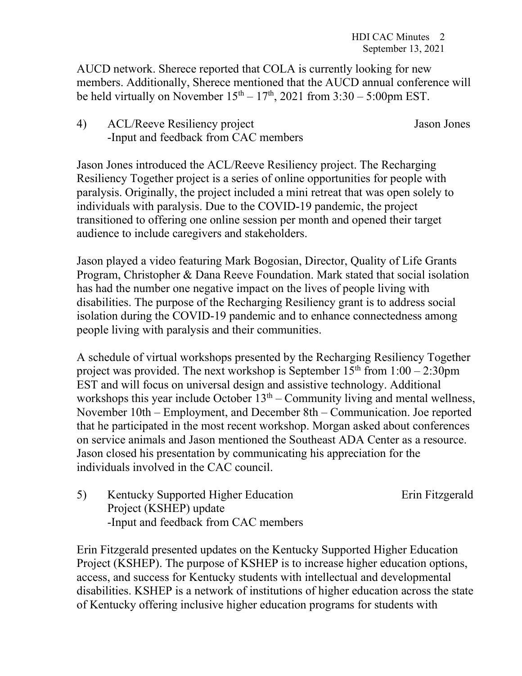AUCD network. Sherece reported that COLA is currently looking for new members. Additionally, Sherece mentioned that the AUCD annual conference will be held virtually on November  $15<sup>th</sup> - 17<sup>th</sup>$ , 2021 from 3:30 – 5:00pm EST.

- 
- 4) ACL/Reeve Resiliency project Jason Jones -Input and feedback from CAC members

Jason Jones introduced the ACL/Reeve Resiliency project. The Recharging Resiliency Together project is a series of online opportunities for people with paralysis. Originally, the project included a mini retreat that was open solely to individuals with paralysis. Due to the COVID-19 pandemic, the project transitioned to offering one online session per month and opened their target audience to include caregivers and stakeholders.

Jason played a video featuring Mark Bogosian, Director, Quality of Life Grants Program, Christopher & Dana Reeve Foundation. Mark stated that social isolation has had the number one negative impact on the lives of people living with disabilities. The purpose of the Recharging Resiliency grant is to address social isolation during the COVID-19 pandemic and to enhance connectedness among people living with paralysis and their communities.

A schedule of virtual workshops presented by the Recharging Resiliency Together project was provided. The next workshop is September  $15<sup>th</sup>$  from  $1:00 - 2:30$ pm EST and will focus on universal design and assistive technology. Additional workshops this year include October  $13<sup>th</sup>$  – Community living and mental wellness, November 10th – Employment, and December 8th – Communication. Joe reported that he participated in the most recent workshop. Morgan asked about conferences on service animals and Jason mentioned the Southeast ADA Center as a resource. Jason closed his presentation by communicating his appreciation for the individuals involved in the CAC council.

5) Kentucky Supported Higher Education Erin Fitzgerald Project (KSHEP) update -Input and feedback from CAC members

Erin Fitzgerald presented updates on the Kentucky Supported Higher Education Project (KSHEP). The purpose of KSHEP is to increase higher education options, access, and success for Kentucky students with intellectual and developmental disabilities. KSHEP is a network of institutions of higher education across the state of Kentucky offering inclusive higher education programs for students with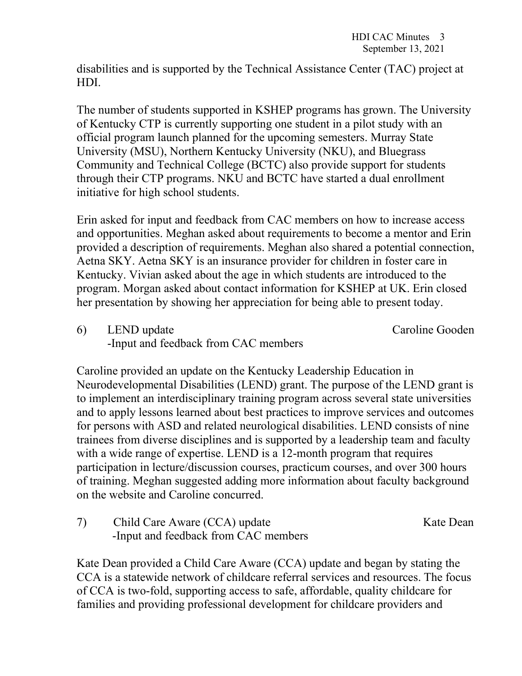disabilities and is supported by the Technical Assistance Center (TAC) project at HDI.

The number of students supported in KSHEP programs has grown. The University of Kentucky CTP is currently supporting one student in a pilot study with an official program launch planned for the upcoming semesters. Murray State University (MSU), Northern Kentucky University (NKU), and Bluegrass Community and Technical College (BCTC) also provide support for students through their CTP programs. NKU and BCTC have started a dual enrollment initiative for high school students.

Erin asked for input and feedback from CAC members on how to increase access and opportunities. Meghan asked about requirements to become a mentor and Erin provided a description of requirements. Meghan also shared a potential connection, Aetna SKY. Aetna SKY is an insurance provider for children in foster care in Kentucky. Vivian asked about the age in which students are introduced to the program. Morgan asked about contact information for KSHEP at UK. Erin closed her presentation by showing her appreciation for being able to present today.

6) LEND update Caroline Gooden -Input and feedback from CAC members

Caroline provided an update on the Kentucky Leadership Education in Neurodevelopmental Disabilities (LEND) grant. The purpose of the LEND grant is to implement an interdisciplinary training program across several state universities and to apply lessons learned about best practices to improve services and outcomes for persons with ASD and related neurological disabilities. LEND consists of nine trainees from diverse disciplines and is supported by a leadership team and faculty with a wide range of expertise. LEND is a 12-month program that requires participation in lecture/discussion courses, practicum courses, and over 300 hours of training. Meghan suggested adding more information about faculty background on the website and Caroline concurred.

7) Child Care Aware (CCA) update Kate Dean -Input and feedback from CAC members

Kate Dean provided a Child Care Aware (CCA) update and began by stating the CCA is a statewide network of childcare referral services and resources. The focus of CCA is two-fold, supporting access to safe, affordable, quality childcare for families and providing professional development for childcare providers and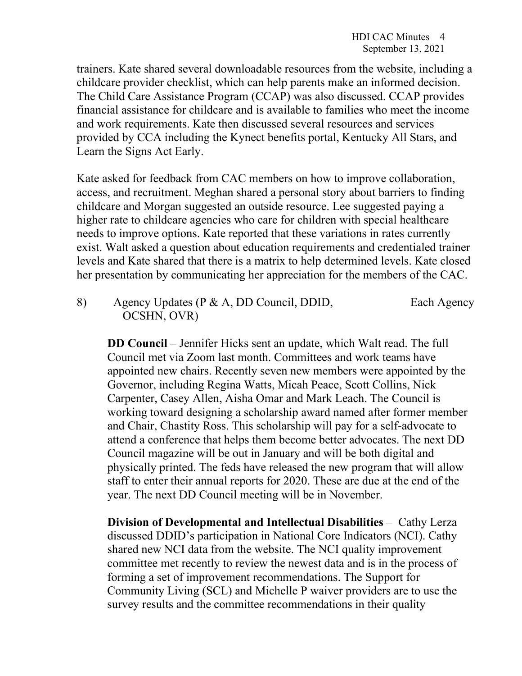trainers. Kate shared several downloadable resources from the website, including a childcare provider checklist, which can help parents make an informed decision. The Child Care Assistance Program (CCAP) was also discussed. CCAP provides financial assistance for childcare and is available to families who meet the income and work requirements. Kate then discussed several resources and services provided by CCA including the Kynect benefits portal, Kentucky All Stars, and Learn the Signs Act Early.

Kate asked for feedback from CAC members on how to improve collaboration, access, and recruitment. Meghan shared a personal story about barriers to finding childcare and Morgan suggested an outside resource. Lee suggested paying a higher rate to childcare agencies who care for children with special healthcare needs to improve options. Kate reported that these variations in rates currently exist. Walt asked a question about education requirements and credentialed trainer levels and Kate shared that there is a matrix to help determined levels. Kate closed her presentation by communicating her appreciation for the members of the CAC.

8) Agency Updates (P & A, DD Council, DDID, Each Agency OCSHN, OVR)

**DD Council** – Jennifer Hicks sent an update, which Walt read. The full Council met via Zoom last month. Committees and work teams have appointed new chairs. Recently seven new members were appointed by the Governor, including Regina Watts, Micah Peace, Scott Collins, Nick Carpenter, Casey Allen, Aisha Omar and Mark Leach. The Council is working toward designing a scholarship award named after former member and Chair, Chastity Ross. This scholarship will pay for a self-advocate to attend a conference that helps them become better advocates. The next DD Council magazine will be out in January and will be both digital and physically printed. The feds have released the new program that will allow staff to enter their annual reports for 2020. These are due at the end of the year. The next DD Council meeting will be in November.

**Division of Developmental and Intellectual Disabilities** – Cathy Lerza discussed DDID's participation in National Core Indicators (NCI). Cathy shared new NCI data from the website. The NCI quality improvement committee met recently to review the newest data and is in the process of forming a set of improvement recommendations. The Support for Community Living (SCL) and Michelle P waiver providers are to use the survey results and the committee recommendations in their quality